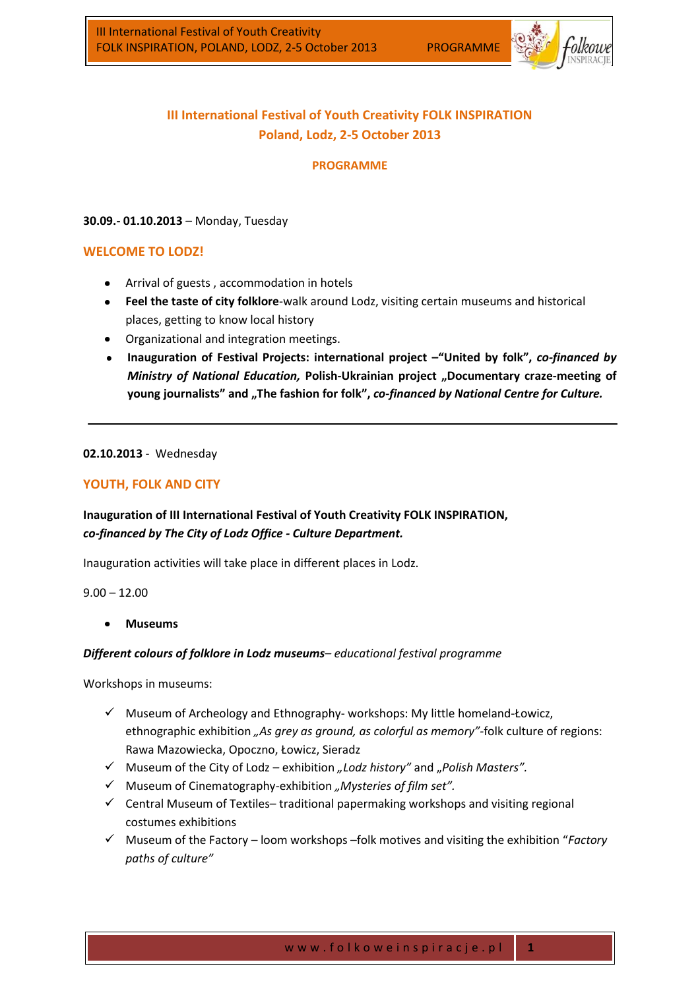

# **III International Festival of Youth Creativity FOLK INSPIRATION Poland, Lodz, 2-5 October 2013**

### **PROGRAMME**

### **30.09.- 01.10.2013** – Monday, Tuesday

# **WELCOME TO LODZ!**

- Arrival of guests , accommodation in hotels
- **Feel the taste of city folklore**-walk around Lodz, visiting certain museums and historical places, getting to know local history
- Organizational and integration meetings.
- **Inauguration of Festival Projects: international project –"United by folk",** *co-financed by Ministry of National Education,* **Polish-Ukrainian project "Documentary craze-meeting of young journalists" and "The fashion for folk",** *co-financed by National Centre for Culture.*

#### **02.10.2013** - Wednesday

# **YOUTH, FOLK AND CITY**

# **Inauguration of III International Festival of Youth Creativity FOLK INSPIRATION,**  *co-financed by The City of Lodz Office - Culture Department.*

Inauguration activities will take place in different places in Lodz.

 $9.00 - 12.00$ 

**Museums**

#### *Different colours of folklore in Lodz museums– educational festival programme*

Workshops in museums:

- $\checkmark$  Museum of Archeology and Ethnography- workshops: My little homeland-Łowicz, ethnographic exhibition *"As grey as ground, as colorful as memory"-*folk culture of regions: Rawa Mazowiecka, Opoczno, Łowicz, Sieradz
- Museum of the City of Lodz exhibition *"Lodz history"* and "*Polish Masters".*
- Museum of Cinematography-exhibition *"Mysteries of film set".*
- $\checkmark$  Central Museum of Textiles-traditional papermaking workshops and visiting regional costumes exhibitions
- Museum of the Factory loom workshops –folk motives and visiting the exhibition "*Factory paths of culture"*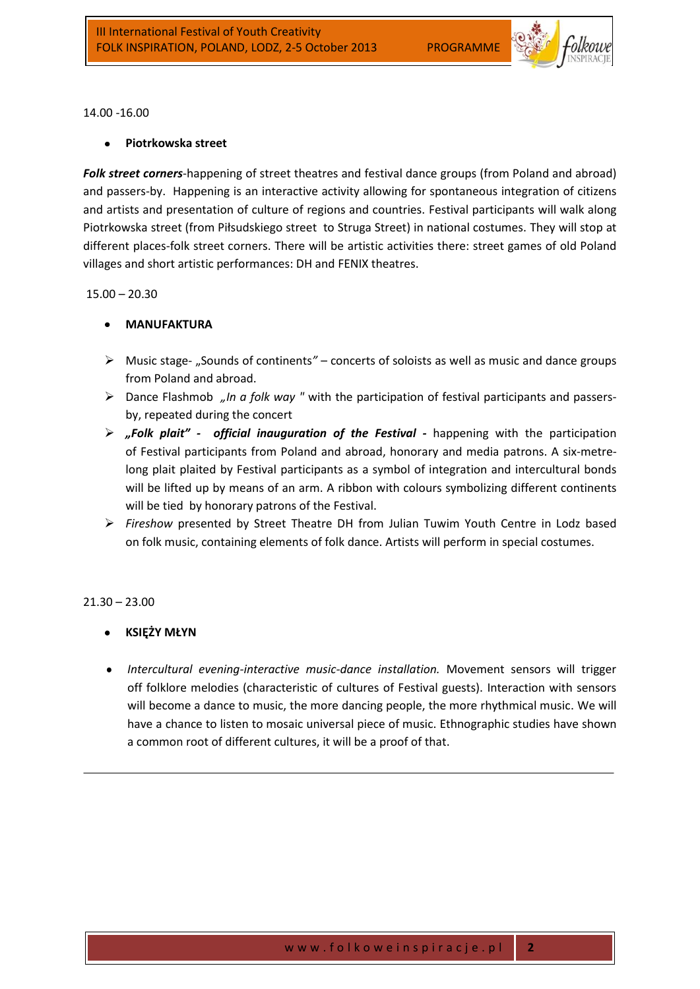

14.00 -16.00

# **Piotrkowska street**

*Folk street corners*-happening of street theatres and festival dance groups (from Poland and abroad) and passers-by. Happening is an interactive activity allowing for spontaneous integration of citizens and artists and presentation of culture of regions and countries. Festival participants will walk along Piotrkowska street (from Piłsudskiego street to Struga Street) in national costumes. They will stop at different places-folk street corners. There will be artistic activities there: street games of old Poland villages and short artistic performances: DH and FENIX theatres.

#### 15.00 – 20.30

# **MANUFAKTURA**

- Music stage- "Sounds of continents*"* concerts of soloists as well as music and dance groups from Poland and abroad.
- Dance Flashmob *"In a folk way "* with the participation of festival participants and passersby, repeated during the concert
- *"Folk plait" official inauguration of the Festival -* happening with the participation of Festival participants from Poland and abroad, honorary and media patrons. A six-metrelong plait plaited by Festival participants as a symbol of integration and intercultural bonds will be lifted up by means of an arm. A ribbon with colours symbolizing different continents will be tied by honorary patrons of the Festival.
- *Fireshow* presented by Street Theatre DH from Julian Tuwim Youth Centre in Lodz based on folk music, containing elements of folk dance. Artists will perform in special costumes.

#### $21.30 - 23.00$

- **KSIĘŻY MŁYN**
- *Intercultural evening-interactive music-dance installation.* Movement sensors will trigger off folklore melodies (characteristic of cultures of Festival guests). Interaction with sensors will become a dance to music, the more dancing people, the more rhythmical music. We will have a chance to listen to mosaic universal piece of music. Ethnographic studies have shown a common root of different cultures, it will be a proof of that.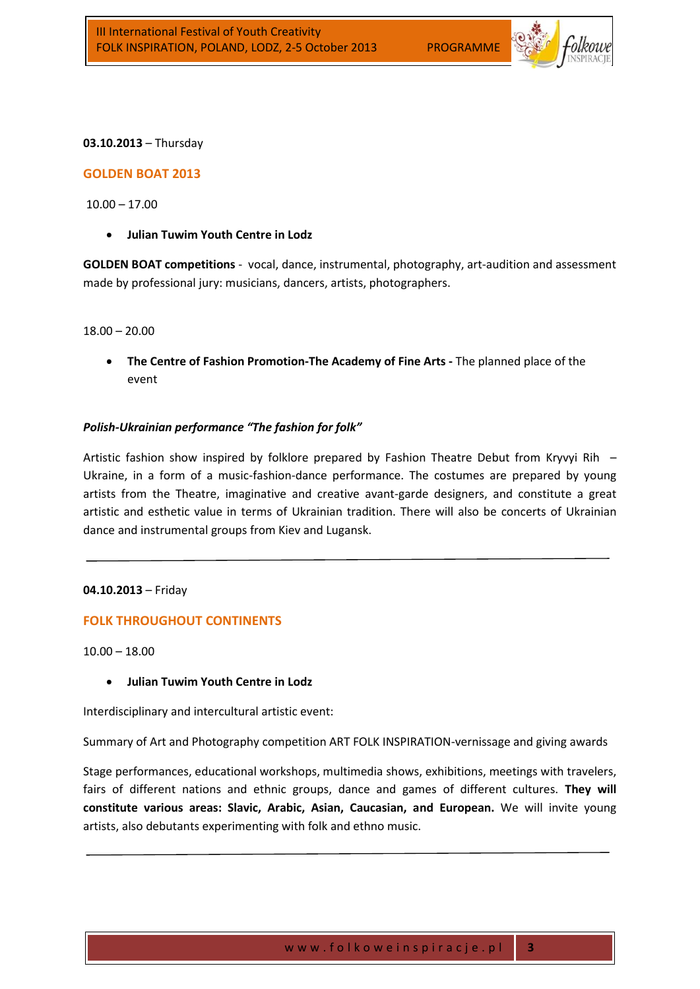

#### **03.10.2013** – Thursday

#### **GOLDEN BOAT 2013**

 $10.00 - 17.00$ 

**Julian Tuwim Youth Centre in Lodz**

**GOLDEN BOAT competitions** - vocal, dance, instrumental, photography, art-audition and assessment made by professional jury: musicians, dancers, artists, photographers.

18.00 – 20.00

**The Centre of Fashion Promotion-The Academy of Fine Arts -** The planned place of the event

#### *Polish-Ukrainian performance "The fashion for folk"*

Artistic fashion show inspired by folklore prepared by Fashion Theatre Debut from Kryvyi Rih – Ukraine, in a form of a music-fashion-dance performance. The costumes are prepared by young artists from the Theatre, imaginative and creative avant-garde designers, and constitute a great artistic and esthetic value in terms of Ukrainian tradition. There will also be concerts of Ukrainian dance and instrumental groups from Kiev and Lugansk.

#### **04.10.2013** – Friday

#### **FOLK THROUGHOUT CONTINENTS**

10.00 – 18.00

**Julian Tuwim Youth Centre in Lodz**

Interdisciplinary and intercultural artistic event:

Summary of Art and Photography competition ART FOLK INSPIRATION-vernissage and giving awards

Stage performances, educational workshops, multimedia shows, exhibitions, meetings with travelers, fairs of different nations and ethnic groups, dance and games of different cultures. **They will constitute various areas: Slavic, Arabic, Asian, Caucasian, and European.** We will invite young artists, also debutants experimenting with folk and ethno music.